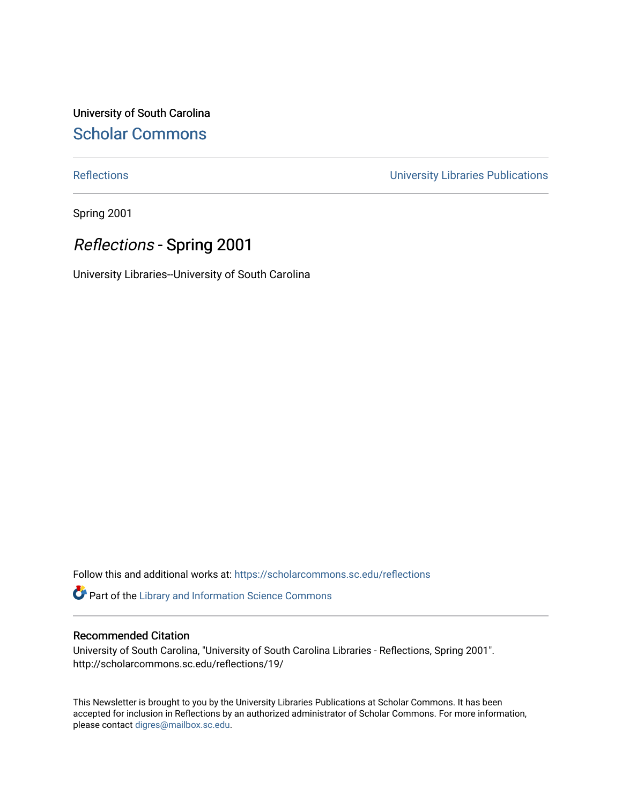University of South Carolina [Scholar Commons](https://scholarcommons.sc.edu/) 

[Reflections](https://scholarcommons.sc.edu/reflections) [University Libraries Publications](https://scholarcommons.sc.edu/lib_pubs) 

Spring 2001

## Reflections - Spring 2001

University Libraries--University of South Carolina

Follow this and additional works at: [https://scholarcommons.sc.edu/reflections](https://scholarcommons.sc.edu/reflections?utm_source=scholarcommons.sc.edu%2Freflections%2F19&utm_medium=PDF&utm_campaign=PDFCoverPages) 

Part of the [Library and Information Science Commons](http://network.bepress.com/hgg/discipline/1018?utm_source=scholarcommons.sc.edu%2Freflections%2F19&utm_medium=PDF&utm_campaign=PDFCoverPages) 

### Recommended Citation

University of South Carolina, "University of South Carolina Libraries - Reflections, Spring 2001". http://scholarcommons.sc.edu/reflections/19/

This Newsletter is brought to you by the University Libraries Publications at Scholar Commons. It has been accepted for inclusion in Reflections by an authorized administrator of Scholar Commons. For more information, please contact [digres@mailbox.sc.edu](mailto:digres@mailbox.sc.edu).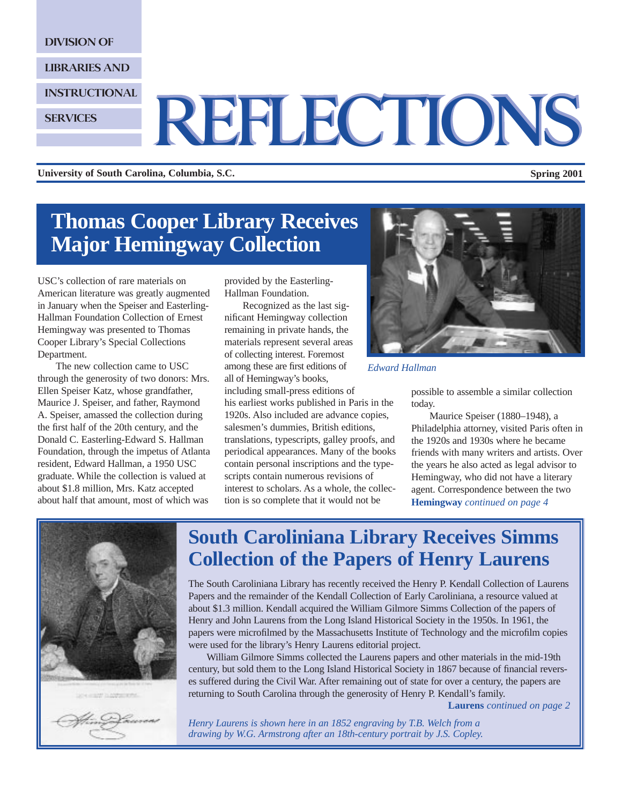DIVISION OF

**SERVICES** 

LIBRARIES AND

INSTRUCTIONAL

# REFLECTIONS REFLECTIONS

**University of South Carolina, Columbia, S.C. Spring 2001**

## **Thomas Cooper Library Receives Major Hemingway Collection**

USC's collection of rare materials on American literature was greatly augmented in January when the Speiser and Easterling-Hallman Foundation Collection of Ernest Hemingway was presented to Thomas Cooper Library's Special Collections Department.

The new collection came to USC through the generosity of two donors: Mrs. Ellen Speiser Katz, whose grandfather, Maurice J. Speiser, and father, Raymond A. Speiser, amassed the collection during the first half of the 20th century, and the Donald C. Easterling-Edward S. Hallman Foundation, through the impetus of Atlanta resident, Edward Hallman, a 1950 USC graduate. While the collection is valued at about \$1.8 million, Mrs. Katz accepted about half that amount, most of which was

provided by the Easterling-Hallman Foundation.

Recognized as the last significant Hemingway collection remaining in private hands, the materials represent several areas of collecting interest. Foremost among these are first editions of all of Hemingway's books,

including small-press editions of his earliest works published in Paris in the 1920s. Also included are advance copies, salesmen's dummies, British editions, translations, typescripts, galley proofs, and periodical appearances. Many of the books contain personal inscriptions and the typescripts contain numerous revisions of interest to scholars. As a whole, the collection is so complete that it would not be



#### *Edward Hallman*

possible to assemble a similar collection today.

Maurice Speiser (1880–1948), a Philadelphia attorney, visited Paris often in the 1920s and 1930s where he became friends with many writers and artists. Over the years he also acted as legal advisor to Hemingway, who did not have a literary agent. Correspondence between the two **Hemingway** *continued on page 4*



## **South Caroliniana Library Receives Simms Collection of the Papers of Henry Laurens**

The South Caroliniana Library has recently received the Henry P. Kendall Collection of Laurens Papers and the remainder of the Kendall Collection of Early Caroliniana, a resource valued at about \$1.3 million. Kendall acquired the William Gilmore Simms Collection of the papers of Henry and John Laurens from the Long Island Historical Society in the 1950s. In 1961, the papers were microfilmed by the Massachusetts Institute of Technology and the microfilm copies were used for the library's Henry Laurens editorial project.

William Gilmore Simms collected the Laurens papers and other materials in the mid-19th century, but sold them to the Long Island Historical Society in 1867 because of financial reverses suffered during the Civil War. After remaining out of state for over a century, the papers are returning to South Carolina through the generosity of Henry P. Kendall's family.

**Laurens** *continued on page 2*

*Henry Laurens is shown here in an 1852 engraving by T.B. Welch from a drawing by W.G. Armstrong after an 18th-century portrait by J.S. Copley.*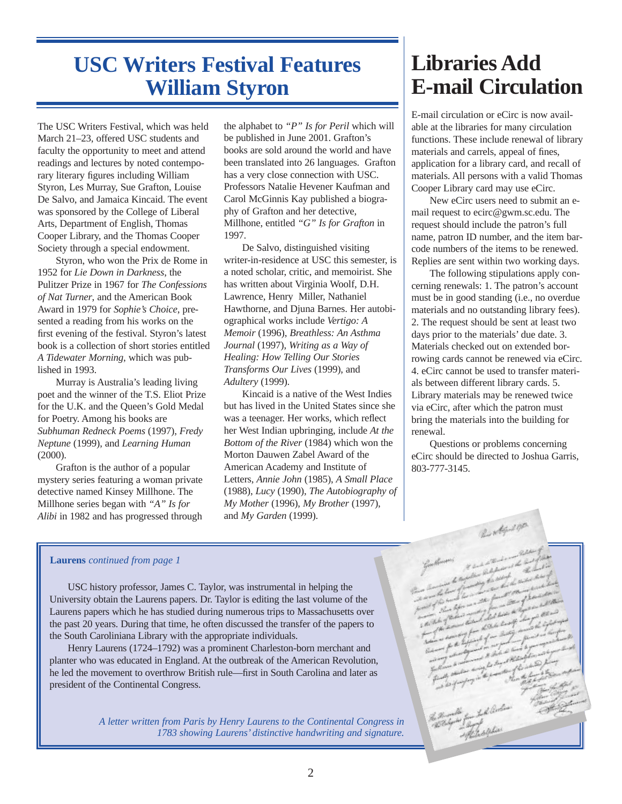## **USC Writers Festival Features William Styron**

The USC Writers Festival, which was held March 21–23, offered USC students and faculty the opportunity to meet and attend readings and lectures by noted contemporary literary figures including William Styron, Les Murray, Sue Grafton, Louise De Salvo, and Jamaica Kincaid. The event was sponsored by the College of Liberal Arts, Department of English, Thomas Cooper Library, and the Thomas Cooper Society through a special endowment.

Styron, who won the Prix de Rome in 1952 for *Lie Down in Darkness*, the Pulitzer Prize in 1967 for *The Confessions of Nat Turner*, and the American Book Award in 1979 for *Sophie's Choice*, presented a reading from his works on the first evening of the festival. Styron's latest book is a collection of short stories entitled *A Tidewater Morning*, which was published in 1993.

Murray is Australia's leading living poet and the winner of the T.S. Eliot Prize for the U.K. and the Queen's Gold Medal for Poetry. Among his books are *Subhuman Redneck Poems* (1997), *Fredy Neptune* (1999), and *Learning Human*  $(2000)$ .

Grafton is the author of a popular mystery series featuring a woman private detective named Kinsey Millhone. The Millhone series began with *"A" Is for Alibi* in 1982 and has progressed through the alphabet to *"P" Is for Peril* which will be published in June 2001. Grafton's books are sold around the world and have been translated into 26 languages. Grafton has a very close connection with USC. Professors Natalie Hevener Kaufman and Carol McGinnis Kay published a biography of Grafton and her detective, Millhone, entitled *"G" Is for Grafton* in 1997.

De Salvo, distinguished visiting writer-in-residence at USC this semester, is a noted scholar, critic, and memoirist. She has written about Virginia Woolf, D.H. Lawrence, Henry Miller, Nathaniel Hawthorne, and Djuna Barnes. Her autobiographical works include *Vertigo: A Memoir* (1996), *Breathless: An Asthma Journal* (1997), *Writing as a Way of Healing: How Telling Our Stories Transforms Our Lives* (1999), and *Adultery* (1999).

Kincaid is a native of the West Indies but has lived in the United States since she was a teenager. Her works, which reflect her West Indian upbringing, include *At the Bottom of the River* (1984) which won the Morton Dauwen Zabel Award of the American Academy and Institute of Letters, *Annie John* (1985), *A Small Place* (1988), *Lucy* (1990), *The Autobiography of My Mother* (1996), *My Brother* (1997), and *My Garden* (1999).

## **Libraries Add E-mail Circulation**

E-mail circulation or eCirc is now available at the libraries for many circulation functions. These include renewal of library materials and carrels, appeal of fines, application for a library card, and recall of materials. All persons with a valid Thomas Cooper Library card may use eCirc.

New eCirc users need to submit an email request to ecirc@gwm.sc.edu. The request should include the patron's full name, patron ID number, and the item barcode numbers of the items to be renewed. Replies are sent within two working days.

The following stipulations apply concerning renewals: 1. The patron's account must be in good standing (i.e., no overdue materials and no outstanding library fees). 2. The request should be sent at least two days prior to the materials' due date. 3. Materials checked out on extended borrowing cards cannot be renewed via eCirc. 4. eCirc cannot be used to transfer materials between different library cards. 5. Library materials may be renewed twice via eCirc, after which the patron must bring the materials into the building for renewal.

Questions or problems concerning eCirc should be directed to Joshua Garris, 803-777-3145.

### **Laurens** *continued from page 1*

USC history professor, James C. Taylor, was instrumental in helping the University obtain the Laurens papers. Dr. Taylor is editing the last volume of the Laurens papers which he has studied during numerous trips to Massachusetts over the past 20 years. During that time, he often discussed the transfer of the papers to the South Caroliniana Library with the appropriate individuals.

Henry Laurens (1724–1792) was a prominent Charleston-born merchant and planter who was educated in England. At the outbreak of the American Revolution, he led the movement to overthrow British rule—first in South Carolina and later as president of the Continental Congress.

> *A letter written from Paris by Henry Laurens to the Continental Congress in 1783 showing Laurens' distinctive handwriting and signature.*

2.44.100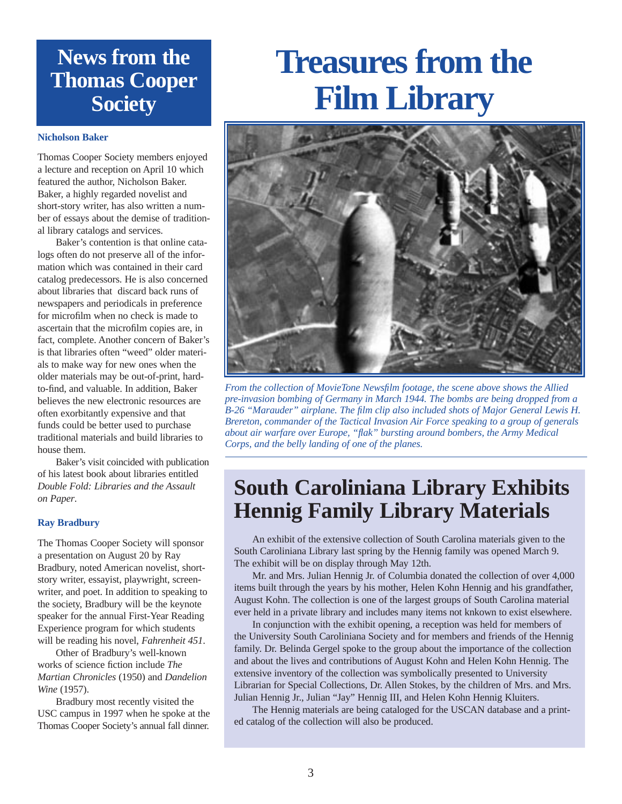## **News from the Thomas Cooper Society**

#### **Nicholson Baker**

Thomas Cooper Society members enjoyed a lecture and reception on April 10 which featured the author, Nicholson Baker. Baker, a highly regarded novelist and short-story writer, has also written a number of essays about the demise of traditional library catalogs and services.

Baker's contention is that online catalogs often do not preserve all of the information which was contained in their card catalog predecessors. He is also concerned about libraries that discard back runs of newspapers and periodicals in preference for microfilm when no check is made to ascertain that the microfilm copies are, in fact, complete. Another concern of Baker's is that libraries often "weed" older materials to make way for new ones when the older materials may be out-of-print, hardto-find, and valuable. In addition, Baker believes the new electronic resources are often exorbitantly expensive and that funds could be better used to purchase traditional materials and build libraries to house them.

Baker's visit coincided with publication of his latest book about libraries entitled *Double Fold: Libraries and the Assault on Paper*.

#### **Ray Bradbury**

The Thomas Cooper Society will sponsor a presentation on August 20 by Ray Bradbury, noted American novelist, shortstory writer, essayist, playwright, screenwriter, and poet. In addition to speaking to the society, Bradbury will be the keynote speaker for the annual First-Year Reading Experience program for which students will be reading his novel, *Fahrenheit 451*.

Other of Bradbury's well-known works of science fiction include *The Martian Chronicles* (1950) and *Dandelion Wine* (1957).

Bradbury most recently visited the USC campus in 1997 when he spoke at the Thomas Cooper Society's annual fall dinner.

# **Treasures from the Film Library**



*From the collection of MovieTone Newsfilm footage, the scene above shows the Allied pre-invasion bombing of Germany in March 1944. The bombs are being dropped from a B-26 "Marauder" airplane. The film clip also included shots of Major General Lewis H. Brereton, commander of the Tactical Invasion Air Force speaking to a group of generals about air warfare over Europe, "flak" bursting around bombers, the Army Medical Corps, and the belly landing of one of the planes.* 

## **South Caroliniana Library Exhibits Hennig Family Library Materials**

An exhibit of the extensive collection of South Carolina materials given to the South Caroliniana Library last spring by the Hennig family was opened March 9. The exhibit will be on display through May 12th.

Mr. and Mrs. Julian Hennig Jr. of Columbia donated the collection of over 4,000 items built through the years by his mother, Helen Kohn Hennig and his grandfather, August Kohn. The collection is one of the largest groups of South Carolina material ever held in a private library and includes many items not knkown to exist elsewhere.

In conjunction with the exhibit opening, a reception was held for members of the University South Caroliniana Society and for members and friends of the Hennig family. Dr. Belinda Gergel spoke to the group about the importance of the collection and about the lives and contributions of August Kohn and Helen Kohn Hennig. The extensive inventory of the collection was symbolically presented to University Librarian for Special Collections, Dr. Allen Stokes, by the children of Mrs. and Mrs. Julian Hennig Jr., Julian "Jay" Hennig III, and Helen Kohn Hennig Kluiters.

The Hennig materials are being cataloged for the USCAN database and a printed catalog of the collection will also be produced.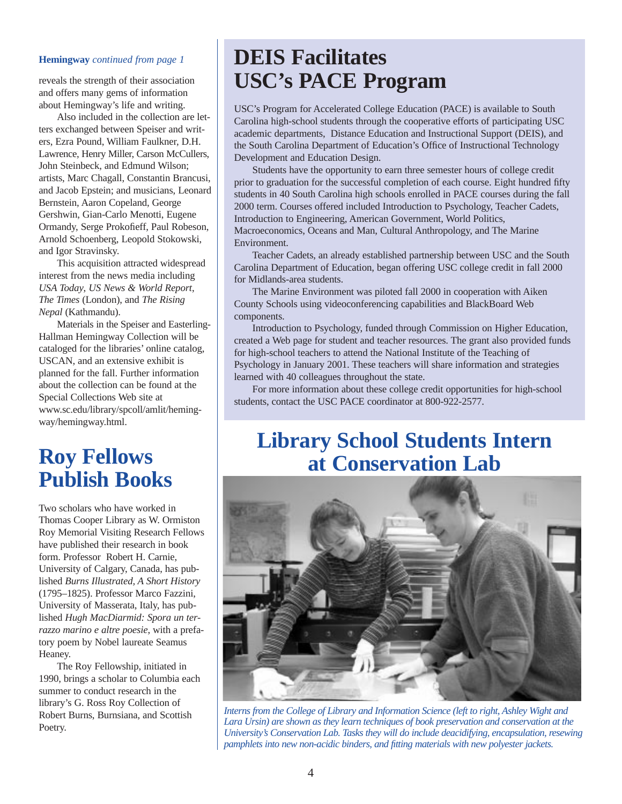reveals the strength of their association and offers many gems of information about Hemingway's life and writing.

Also included in the collection are letters exchanged between Speiser and writers, Ezra Pound, William Faulkner, D.H. Lawrence, Henry Miller, Carson McCullers, John Steinbeck, and Edmund Wilson; artists, Marc Chagall, Constantin Brancusi, and Jacob Epstein; and musicians, Leonard Bernstein, Aaron Copeland, George Gershwin, Gian-Carlo Menotti, Eugene Ormandy, Serge Prokofieff, Paul Robeson, Arnold Schoenberg, Leopold Stokowski, and Igor Stravinsky.

This acquisition attracted widespread interest from the news media including *USA Today*, *US News & World Report*, *The Times* (London), and *The Rising Nepal* (Kathmandu).

Materials in the Speiser and Easterling-Hallman Hemingway Collection will be cataloged for the libraries' online catalog, USCAN, and an extensive exhibit is planned for the fall. Further information about the collection can be found at the Special Collections Web site at www.sc.edu/library/spcoll/amlit/hemingway/hemingway.html.

## **Roy Fellows Publish Books**

Two scholars who have worked in Thomas Cooper Library as W. Ormiston Roy Memorial Visiting Research Fellows have published their research in book form. Professor Robert H. Carnie, University of Calgary, Canada, has published *Burns Illustrated, A Short History* (1795–1825). Professor Marco Fazzini, University of Masserata, Italy, has published *Hugh MacDiarmid: Spora un terrazzo marino e altre poesie*, with a prefatory poem by Nobel laureate Seamus Heaney.

The Roy Fellowship, initiated in 1990, brings a scholar to Columbia each summer to conduct research in the library's G. Ross Roy Collection of Robert Burns, Burnsiana, and Scottish Poetry.

## **Hemingway** *continued from page 1* **DEIS Facilitates USC's PACE Program**

USC's Program for Accelerated College Education (PACE) is available to South Carolina high-school students through the cooperative efforts of participating USC academic departments, Distance Education and Instructional Support (DEIS), and the South Carolina Department of Education's Office of Instructional Technology Development and Education Design.

Students have the opportunity to earn three semester hours of college credit prior to graduation for the successful completion of each course. Eight hundred fifty students in 40 South Carolina high schools enrolled in PACE courses during the fall 2000 term. Courses offered included Introduction to Psychology, Teacher Cadets, Introduction to Engineering, American Government, World Politics, Macroeconomics, Oceans and Man, Cultural Anthropology, and The Marine Environment.

Teacher Cadets, an already established partnership between USC and the South Carolina Department of Education, began offering USC college credit in fall 2000 for Midlands-area students.

The Marine Environment was piloted fall 2000 in cooperation with Aiken County Schools using videoconferencing capabilities and BlackBoard Web components.

Introduction to Psychology, funded through Commission on Higher Education, created a Web page for student and teacher resources. The grant also provided funds for high-school teachers to attend the National Institute of the Teaching of Psychology in January 2001. These teachers will share information and strategies learned with 40 colleagues throughout the state.

For more information about these college credit opportunities for high-school students, contact the USC PACE coordinator at 800-922-2577.

## **Library School Students Intern at Conservation Lab**



*Interns from the College of Library and Information Science (left to right, Ashley Wight and Lara Ursin) are shown as they learn techniques of book preservation and conservation at the University's Conservation Lab. Tasks they will do include deacidifying, encapsulation, resewing pamphlets into new non-acidic binders, and fitting materials with new polyester jackets.*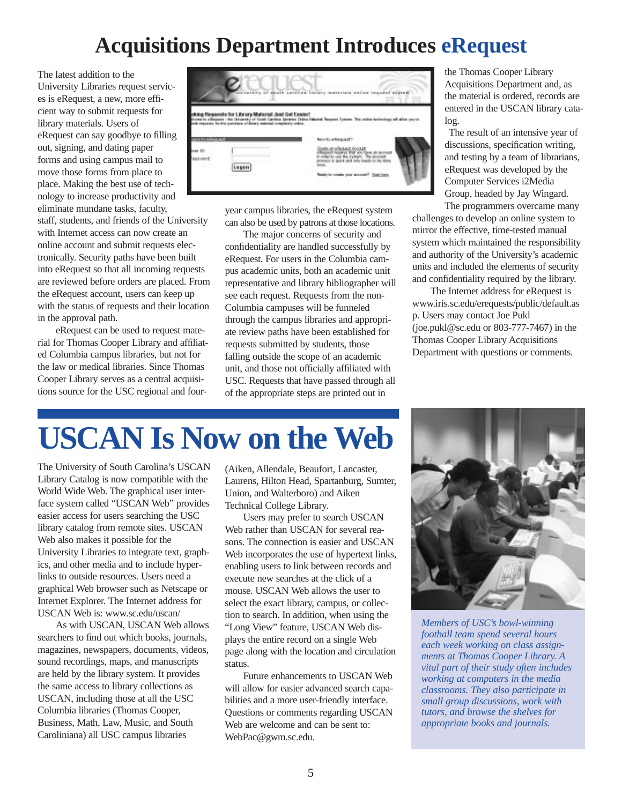## **Acquisitions Department Introduces eRequest**

The latest addition to the University Libraries request services is eRequest, a new, more efficient way to submit requests for library materials. Users of eRequest can say goodbye to filling out, signing, and dating paper forms and using campus mail to move those forms from place to place. Making the best use of technology to increase productivity and eliminate mundane tasks, faculty, staff, students, and friends of the University with Internet access can now create an online account and submit requests electronically. Security paths have been built into eRequest so that all incoming requests are reviewed before orders are placed. From the eRequest account, users can keep up with the status of requests and their location in the approval path.

eRequest can be used to request material for Thomas Cooper Library and affiliated Columbia campus libraries, but not for the law or medical libraries. Since Thomas Cooper Library serves as a central acquisitions source for the USC regional and four-



year campus libraries, the eRequest system can also be used by patrons at those locations.

The major concerns of security and confidentiality are handled successfully by eRequest. For users in the Columbia campus academic units, both an academic unit representative and library bibliographer will see each request. Requests from the non-Columbia campuses will be funneled through the campus libraries and appropriate review paths have been established for requests submitted by students, those falling outside the scope of an academic unit, and those not officially affiliated with USC. Requests that have passed through all of the appropriate steps are printed out in

the Thomas Cooper Library Acquisitions Department and, as the material is ordered, records are entered in the USCAN library catalog.

The result of an intensive year of discussions, specification writing, and testing by a team of librarians, eRequest was developed by the Computer Services i2Media Group, headed by Jay Wingard.

The programmers overcame many challenges to develop an online system to mirror the effective, time-tested manual system which maintained the responsibility and authority of the University's academic units and included the elements of security and confidentiality required by the library.

The Internet address for eRequest is www.iris.sc.edu/erequests/public/default.as p. Users may contact Joe Pukl (joe.pukl@sc.edu or 803-777-7467) in the Thomas Cooper Library Acquisitions Department with questions or comments.

## **USCAN Is Now on the Web**

The University of South Carolina's USCAN Library Catalog is now compatible with the World Wide Web. The graphical user interface system called "USCAN Web" provides easier access for users searching the USC library catalog from remote sites. USCAN Web also makes it possible for the University Libraries to integrate text, graphics, and other media and to include hyperlinks to outside resources. Users need a graphical Web browser such as Netscape or Internet Explorer. The Internet address for USCAN Web is: www.sc.edu/uscan/

As with USCAN, USCAN Web allows searchers to find out which books, journals, magazines, newspapers, documents, videos, sound recordings, maps, and manuscripts are held by the library system. It provides the same access to library collections as USCAN, including those at all the USC Columbia libraries (Thomas Cooper, Business, Math, Law, Music, and South Caroliniana) all USC campus libraries

(Aiken, Allendale, Beaufort, Lancaster, Laurens, Hilton Head, Spartanburg, Sumter, Union, and Walterboro) and Aiken Technical College Library.

Users may prefer to search USCAN Web rather than USCAN for several reasons. The connection is easier and USCAN Web incorporates the use of hypertext links, enabling users to link between records and execute new searches at the click of a mouse. USCAN Web allows the user to select the exact library, campus, or collection to search. In addition, when using the "Long View" feature, USCAN Web displays the entire record on a single Web page along with the location and circulation status.

Future enhancements to USCAN Web will allow for easier advanced search capabilities and a more user-friendly interface. Questions or comments regarding USCAN Web are welcome and can be sent to: WebPac@gwm.sc.edu.



*Members of USC's bowl-winning football team spend several hours each week working on class assignments at Thomas Cooper Library. A vital part of their study often includes working at computers in the media classrooms. They also participate in small group discussions, work with tutors, and browse the shelves for appropriate books and journals.*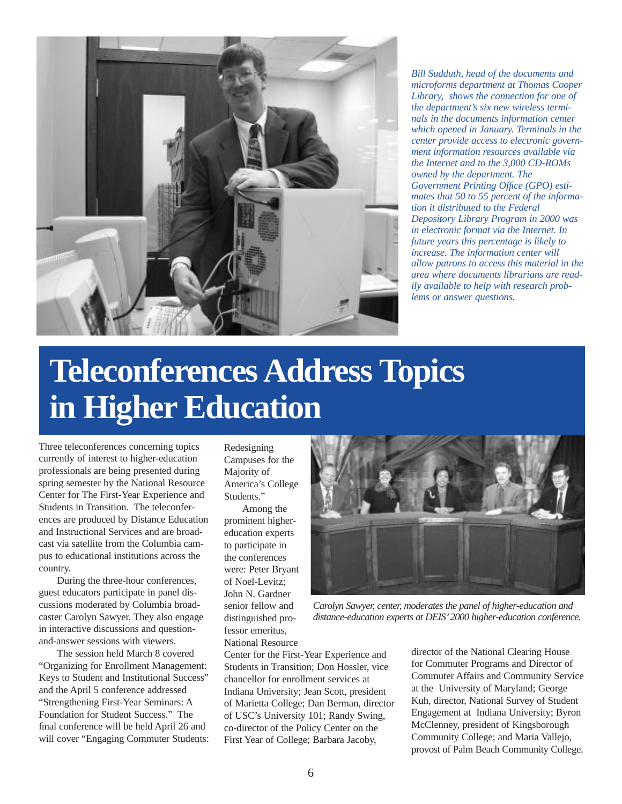

*Bill Sudduth, head of the documents and microforms department at Thomas Cooper Library, shows the connection for one of the department's six new wireless terminals in the documents information center which opened in January. Terminals in the center provide access to electronic government information resources available via the Internet and to the 3,000 CD-ROMs owned by the department. The Government Printing Office (GPO) estimates that 50 to 55 percent of the information it distributed to the Federal Depository Library Program in 2000 was in electronic format via the Internet. In future years this percentage is likely to increase. The information center will allow patrons to access this material in the area where documents librarians are readily available to help with research problems or answer questions.*

# **Teleconferences Address Topics in Higher Education**

Three teleconferences concerning topics currently of interest to higher-education professionals are being presented during spring semester by the National Resource Center for The First-Year Experience and Students in Transition. The teleconferences are produced by Distance Education and Instructional Services and are broadcast via satellite from the Columbia campus to educational institutions across the country.

During the three-hour conferences, guest educators participate in panel discussions moderated by Columbia broadcaster Carolyn Sawyer. They also engage in interactive discussions and questionand-answer sessions with viewers.

The session held March 8 covered "Organizing for Enrollment Management: Keys to Student and Institutional Success" and the April 5 conference addressed "Strengthening First-Year Seminars: A Foundation for Student Success." The final conference will be held April 26 and will cover "Engaging Commuter Students: Redesigning Campuses for the Majority of America's College Students."

Among the prominent highereducation experts to participate in the conferences were: Peter Bryant of Noel-Levitz; John N. Gardner senior fellow and distinguished professor emeritus, National Resource



*Carolyn Sawyer, center, moderates the panel of higher-education and distance-education experts at DEIS'2000 higher-education conference.*

Center for the First-Year Experience and Students in Transition; Don Hossler, vice chancellor for enrollment services at Indiana University; Jean Scott, president of Marietta College; Dan Berman, director of USC's University 101; Randy Swing, co-director of the Policy Center on the First Year of College; Barbara Jacoby,

director of the National Clearing House for Commuter Programs and Director of Commuter Affairs and Community Service at the University of Maryland; George Kuh, director, National Survey of Student Engagement at Indiana University; Byron McClenney, president of Kingsborough Community College; and Maria Vallejo, provost of Palm Beach Community College.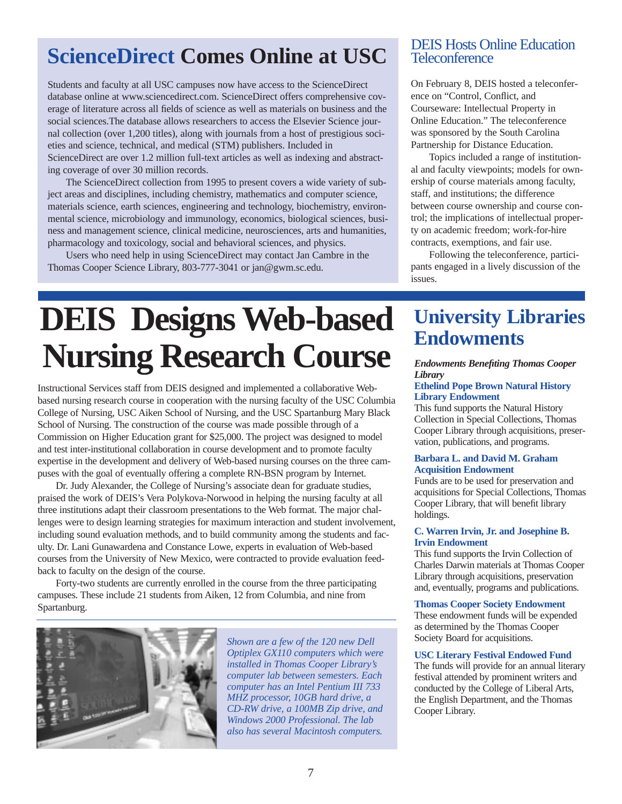## **ScienceDirect Comes Online at USC**

Students and faculty at all USC campuses now have access to the ScienceDirect database online at www.sciencedirect.com. ScienceDirect offers comprehensive coverage of literature across all fields of science as well as materials on business and the social sciences.The database allows researchers to access the Elsevier Science journal collection (over 1,200 titles), along with journals from a host of prestigious societies and science, technical, and medical (STM) publishers. Included in ScienceDirect are over 1.2 million full-text articles as well as indexing and abstracting coverage of over 30 million records.

The ScienceDirect collection from 1995 to present covers a wide variety of subject areas and disciplines, including chemistry, mathematics and computer science, materials science, earth sciences, engineering and technology, biochemistry, environmental science, microbiology and immunology, economics, biological sciences, business and management science, clinical medicine, neurosciences, arts and humanities, pharmacology and toxicology, social and behavioral sciences, and physics.

Users who need help in using ScienceDirect may contact Jan Cambre in the Thomas Cooper Science Library, 803-777-3041 or jan@gwm.sc.edu.

## DEIS Hosts Online Education **Teleconference**

On February 8, DEIS hosted a teleconference on "Control, Conflict, and Courseware: Intellectual Property in Online Education." The teleconference was sponsored by the South Carolina Partnership for Distance Education.

Topics included a range of institutional and faculty viewpoints; models for ownership of course materials among faculty, staff, and institutions; the difference between course ownership and course control; the implications of intellectual property on academic freedom; work-for-hire contracts, exemptions, and fair use.

Following the teleconference, participants engaged in a lively discussion of the issues.

# **DEIS Designs Web-based** University Li **Nursing Research Course**

Instructional Services staff from DEIS designed and implemented a collaborative Webbased nursing research course in cooperation with the nursing faculty of the USC Columbia College of Nursing, USC Aiken School of Nursing, and the USC Spartanburg Mary Black School of Nursing. The construction of the course was made possible through of a Commission on Higher Education grant for \$25,000. The project was designed to model and test inter-institutional collaboration in course development and to promote faculty expertise in the development and delivery of Web-based nursing courses on the three campuses with the goal of eventually offering a complete RN-BSN program by Internet.

Dr. Judy Alexander, the College of Nursing's associate dean for graduate studies, praised the work of DEIS's Vera Polykova-Norwood in helping the nursing faculty at all three institutions adapt their classroom presentations to the Web format. The major challenges were to design learning strategies for maximum interaction and student involvement, including sound evaluation methods, and to build community among the students and faculty. Dr. Lani Gunawardena and Constance Lowe, experts in evaluation of Web-based courses from the University of New Mexico, were contracted to provide evaluation feedback to faculty on the design of the course.

Forty-two students are currently enrolled in the course from the three participating campuses. These include 21 students from Aiken, 12 from Columbia, and nine from Spartanburg.



*Shown are a few of the 120 new Dell Optiplex GX110 computers which were installed in Thomas Cooper Library's computer lab between semesters. Each computer has an Intel Pentium III 733 MHZ processor, 10GB hard drive, a CD-RW drive, a 100MB Zip drive, and Windows 2000 Professional. The lab also has several Macintosh computers.*

# **University Libraries**

#### *Endowments Benefiting Thomas Cooper Library*

#### **Ethelind Pope Brown Natural History Library Endowment**

This fund supports the Natural History Collection in Special Collections, Thomas Cooper Library through acquisitions, preservation, publications, and programs.

#### **Barbara L. and David M. Graham Acquisition Endowment**

Funds are to be used for preservation and acquisitions for Special Collections, Thomas Cooper Library, that will benefit library holdings.

#### **C. Warren Irvin, Jr. and Josephine B. Irvin Endowment**

This fund supports the Irvin Collection of Charles Darwin materials at Thomas Cooper Library through acquisitions, preservation and, eventually, programs and publications.

#### **Thomas Cooper Society Endowment**

These endowment funds will be expended as determined by the Thomas Cooper Society Board for acquisitions.

#### **USC Literary Festival Endowed Fund**

The funds will provide for an annual literary festival attended by prominent writers and conducted by the College of Liberal Arts, the English Department, and the Thomas Cooper Library.